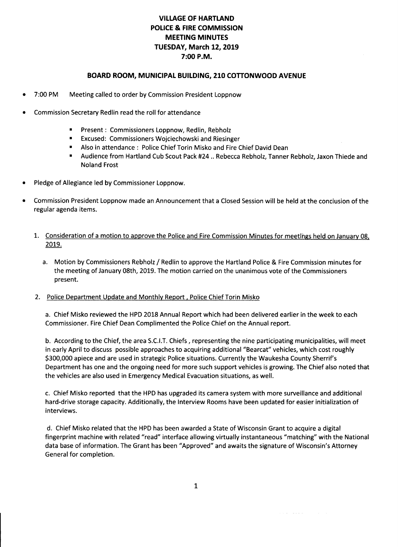# **VILLAGE OF HARTLAND POLICE & FIRE COMMISSION MEETING MINUTES TUESDAY, March 12, 2019 7:00 P.M.**

## **BOARD ROOM, MUNICIPAL BUILDING, 210 COTTONWOOD AVENUE**

- 7:00 PM Meeting called to order by Commission President Loppnow
- Commission Secretary Redlin read the roll for attendance
	- Present: Commissioners Loppnow, Redlin, Rebholz
	- Excused: Commissioners Wojciechowski and Riesinger
	- Also in attendance : Police Chief Torin Misko and Fire Chief David Dean
	- Audience from Hartland Cub Scout Pack #24 .. Rebecca Rebholz, Tanner Rebholz, Jaxon Thiede and Noland Frost
- Pledge of Allegiance led by Commissioner Loppnow.
- Commission President Loppnow made an Announcement that a Closed Session will be held at the conclusion of the regular agenda items.
	- 1. Consideration of a motion to approve the Police and Fire Commission Minutes for meetings held on January 08, 2019.
		- a. Motion by Commissioners Rebholz / Redlin to approve the Hartland Police & Fire Commission minutes for the meeting of January 08th, 2019. The motion carried on the unanimous vote of the Commissioners present.

#### 2. Police Department Update and Monthly Report. Police Chief Torin Misko

a. Chief Misko reviewed the HPD 2018 Annual Report which had been delivered earlier in the week to each Commissioner. Fire Chief Dean Complimented the Police Chief on the Annual report.

b. According to the Chief, the area S.C.l.T. Chiefs, representing the nine participating municipalities, will meet in early April to discuss possible approaches to acquiring additional "Bearcat" vehicles, which cost roughly \$300,000 apiece and are used in strategic Police situations. Currently the Waukesha County Sherrif's Department has one and the ongoing need for more such support vehicles is growing. The Chief also noted that the vehicles are also used in Emergency Medical Evacuation situations, as well.

c. Chief Misko reported that the HPD has upgraded its camera system with more surveillance and additional hard-drive storage capacity. Additionally, the Interview Rooms have been updated for easier initialization of interviews.

d. Chief Misko related that the HPD has been awarded a State of Wisconsin Grant to acquire a digital fingerprint machine with related "read" interface allowing virtually instantaneous "matching" with the National data base of information. The Grant has been "Approved" and awaits the signature of Wisconsin's Attorney General for completion.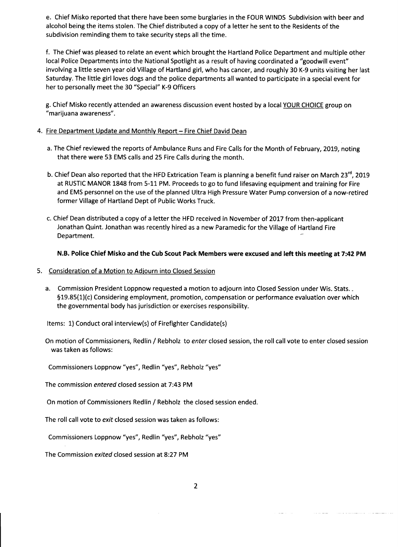e. Chief Misko reported that there have been some burglaries in the FOUR WINDS Subdivision with beer and alcohol being the items stolen. The Chief distributed a copy of a letter he sent to the Residents of the subdivision reminding them to take security steps all the time.

f. The Chief was pleased to relate an event which brought the Hartland Police Department and multiple other local Police Departments into the National Spotlight as a result of having coordinated a "goodwill event" involving a little seven year old Village of Hartland girl, who has cancer, and roughly 30 K-9 units visiting her last Saturday. The little girl loves dogs and the police departments all wanted to participate in a special event for her to personally meet the 30 "Special" K-9 Officers

g. Chief Misko recently attended an awareness discussion event hosted by a local YOUR CHOICE group on "marijuana awareness".

### 4. Fire Department Update and Monthly Report - Fire Chief David Dean

- a. The Chief reviewed the reports of Ambulance Runs and Fire Calls for the Month of February, 2019, noting that there were 53 EMS calls and 25 Fire Calls during the month.
- b. Chief Dean also reported that the HFD Extrication Team is planning a benefit fund raiser on March 23<sup>rd</sup>, 2019 at RUSTIC MANOR 1848 from 5-11 PM. Proceeds to go to fund lifesaving equipment and training for Fire and EMS personnel on the use of the planned Ultra High Pressure Water Pump conversion of a now-retired former Village of Hartland Dept of Public Works Truck.
- c. Chief Dean distributed a copy of a letter the HFD received in November of 2017 from then-applicant Jonathan Quint. Jonathan was recently hired as a new Paramedic for the Village of Hartland Fire Department.

#### **N.B. Police Chief Misko and the Cub Scout Pack Members were excused and left this meeting at 7:42 PM**

## 5. Consideration of a Motion to Adjourn into Closed Session

a. Commission President Loppnow requested a motion to adjourn into Closed Session under Wis. Stats.. §19.85(l)(c) Considering employment, promotion, compensation or performance evaluation over which the governmental body has jurisdiction or exercises responsibility.

Items: 1) Conduct oral interview(s) of Firefighter Candidate(s)

On motion of Commissioners, Redlin / Rebholz to *enter* closed session, the roll call vote to enter closed session was taken as follows:

Commissioners Loppnow "yes", Redlin "yes", Rebholz "yes"

The commission *entered* closed session at 7:43 PM

On motion of Commissioners Redlin / Rebholz the closed session ended.

The roll call vote to *exit* closed session was taken as follows:

Commissioners Loppnow "yes", Redlin "yes", Rebholz "yes"

The Commission *exited* closed session at 8:27 PM